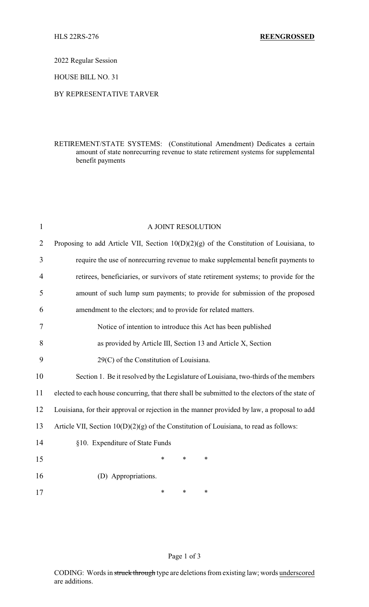2022 Regular Session

HOUSE BILL NO. 31

## BY REPRESENTATIVE TARVER

## RETIREMENT/STATE SYSTEMS: (Constitutional Amendment) Dedicates a certain amount of state nonrecurring revenue to state retirement systems for supplemental benefit payments

| $\mathbf{1}$   | A JOINT RESOLUTION                                                                              |  |  |
|----------------|-------------------------------------------------------------------------------------------------|--|--|
| $\overline{2}$ | Proposing to add Article VII, Section $10(D)(2)(g)$ of the Constitution of Louisiana, to        |  |  |
| 3              | require the use of nonrecurring revenue to make supplemental benefit payments to                |  |  |
| 4              | retirees, beneficiaries, or survivors of state retirement systems; to provide for the           |  |  |
| 5              | amount of such lump sum payments; to provide for submission of the proposed                     |  |  |
| 6              | amendment to the electors; and to provide for related matters.                                  |  |  |
| 7              | Notice of intention to introduce this Act has been published                                    |  |  |
| 8              | as provided by Article III, Section 13 and Article X, Section                                   |  |  |
| 9              | 29(C) of the Constitution of Louisiana.                                                         |  |  |
| 10             | Section 1. Be it resolved by the Legislature of Louisiana, two-thirds of the members            |  |  |
| 11             | elected to each house concurring, that there shall be submitted to the electors of the state of |  |  |
| 12             | Louisiana, for their approval or rejection in the manner provided by law, a proposal to add     |  |  |
| 13             | Article VII, Section $10(D)(2)(g)$ of the Constitution of Louisiana, to read as follows:        |  |  |
| 14             | §10. Expenditure of State Funds                                                                 |  |  |
| 15             | *<br>$\ast$<br>*                                                                                |  |  |
| 16             | (D) Appropriations.                                                                             |  |  |
| 17             | *<br>$\ast$<br>*                                                                                |  |  |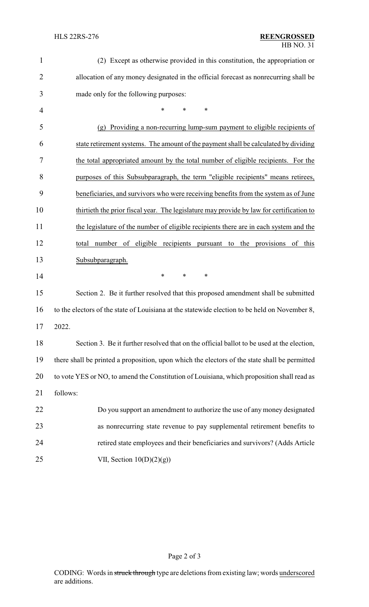## HLS 22RS-276 **REENGROSSED** HB NO. 31

| $\mathbf{1}$   | (2) Except as otherwise provided in this constitution, the appropriation or                   |  |  |  |
|----------------|-----------------------------------------------------------------------------------------------|--|--|--|
| $\overline{2}$ | allocation of any money designated in the official forecast as nonrecurring shall be          |  |  |  |
| 3              | made only for the following purposes:                                                         |  |  |  |
| 4              | $\ast$<br>$\ast$<br>∗                                                                         |  |  |  |
| 5              | Providing a non-recurring lump-sum payment to eligible recipients of<br>(g)                   |  |  |  |
| 6              | state retirement systems. The amount of the payment shall be calculated by dividing           |  |  |  |
| 7              | the total appropriated amount by the total number of eligible recipients. For the             |  |  |  |
| 8              | purposes of this Subsubparagraph, the term "eligible recipients" means retirees,              |  |  |  |
| 9              | beneficiaries, and survivors who were receiving benefits from the system as of June           |  |  |  |
| 10             | thirtieth the prior fiscal year. The legislature may provide by law for certification to      |  |  |  |
| 11             | the legislature of the number of eligible recipients there are in each system and the         |  |  |  |
| 12             | number of eligible recipients pursuant to<br>the provisions of this<br>total                  |  |  |  |
| 13             | Subsubparagraph.                                                                              |  |  |  |
| 14             | $\ast$<br>$\ast$<br>∗                                                                         |  |  |  |
| 15             | Section 2. Be it further resolved that this proposed amendment shall be submitted             |  |  |  |
| 16             | to the electors of the state of Louisiana at the statewide election to be held on November 8, |  |  |  |
| 17             | 2022                                                                                          |  |  |  |
| 18             | Section 3. Be it further resolved that on the official ballot to be used at the election,     |  |  |  |
| 19             | there shall be printed a proposition, upon which the electors of the state shall be permitted |  |  |  |
| 20             | to vote YES or NO, to amend the Constitution of Louisiana, which proposition shall read as    |  |  |  |
| 21             | follows:                                                                                      |  |  |  |
| 22             | Do you support an amendment to authorize the use of any money designated                      |  |  |  |
| 23             | as nonrecurring state revenue to pay supplemental retirement benefits to                      |  |  |  |
| 24             | retired state employees and their beneficiaries and survivors? (Adds Article                  |  |  |  |
| 25             | VII, Section $10(D)(2)(g)$                                                                    |  |  |  |